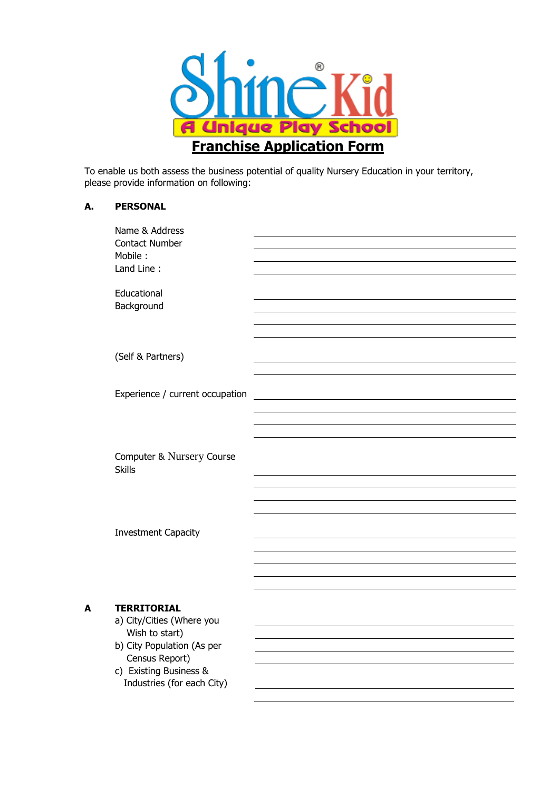

To enable us both assess the business potential of quality Nursery Education in your territory, please provide information on following:

| А. | <b>PERSONAL</b> |
|----|-----------------|
|    |                 |

|   | Name & Address<br><b>Contact Number</b><br>Mobile:<br>Land Line:                                                                            |  |
|---|---------------------------------------------------------------------------------------------------------------------------------------------|--|
|   | Educational<br>Background                                                                                                                   |  |
|   | (Self & Partners)                                                                                                                           |  |
|   | Experience / current occupation                                                                                                             |  |
|   | Computer & Nursery Course<br><b>Skills</b>                                                                                                  |  |
|   | <b>Investment Capacity</b>                                                                                                                  |  |
| A | <b>TERRITORIAL</b><br>a) City/Cities (Where you<br>Wish to start)<br>b) City Population (As per<br>Census Report)<br>c) Existing Business & |  |
|   | Industries (for each City)                                                                                                                  |  |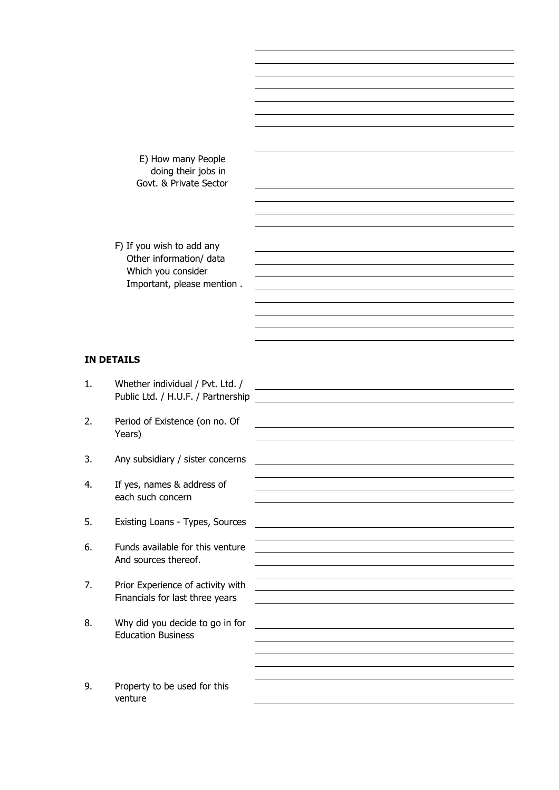E) How many People doing their jobs in Govt. & Private Sector

 F) If you wish to add any Other information/ data Which you consider Important, please mention .

## **IN DETAILS**

1. Whether individual / Pvt. Ltd. / Public Ltd. / H.U.F. / Partnership 2. Period of Existence (on no. Of Years)

- 3. Any subsidiary / sister concerns
- 4. If yes, names & address of each such concern
- 5. Existing Loans Types, Sources
- 6. Funds available for this venture And sources thereof.
- 7. Prior Experience of activity with Financials for last three years
- 8. Why did you decide to go in for Education Business
- 9. Property to be used for this venture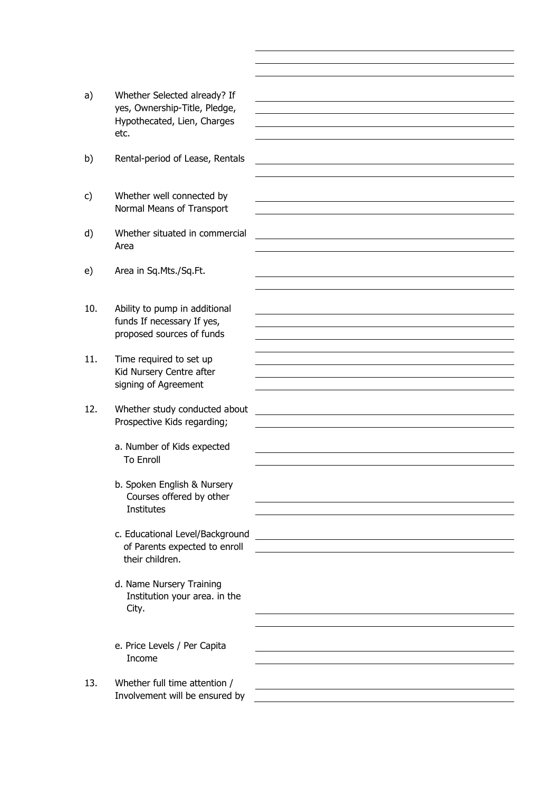- a) Whether Selected already? If yes, Ownership-Title, Pledge, Hypothecated, Lien, Charges etc.
- b) Rental-period of Lease, Rentals
- c) Whether well connected by Normal Means of Transport
- d) Whether situated in commercial Area
- e) Area in Sq.Mts./Sq.Ft.
- 10. Ability to pump in additional funds If necessary If yes, proposed sources of funds
- 11. Time required to set up Kid Nursery Centre after signing of Agreement
- 12. Whether study conducted about Prospective Kids regarding;
	- a. Number of Kids expected To Enroll
	- b. Spoken English & Nursery Courses offered by other Institutes
	- c. Educational Level/Background of Parents expected to enroll their children.

- d. Name Nursery Training Institution your area. in the City.
- e. Price Levels / Per Capita Income
- 13. Whether full time attention / Involvement will be ensured by